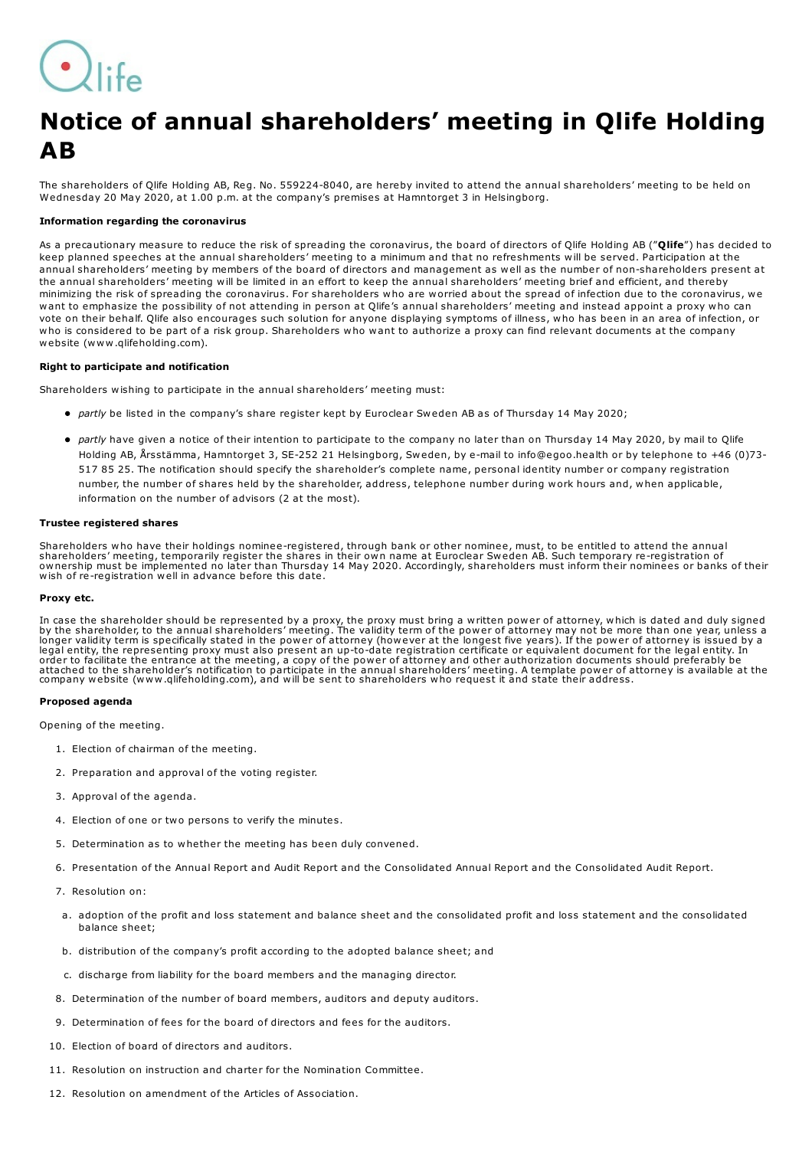# Notice of annual shareholders' meeting in Qlife Holding AB

The shareholders of Qlife Holding AB, Reg. No. 559224-8040, are hereby invited to attend the annual shareholders' meeting to be held on Wednesday 20 May 2020, at 1.00 p.m. at the company's premises at Hamntorget 3 in Helsingborg.

# Information regarding the coronavirus

As a precautionary measure to reduce the risk of spreading the coronavirus, the board of directors of Qlife Holding AB ("Qlife") has decided to keep planned speeches at the annual shareholders' meeting to a minimum and that no refreshments will be served. Participation at the annual shareholders' meeting by members of the board of directors and management as well as the number of non-shareholders present at the annual shareholders' meeting will be limited in an effort to keep the annual shareholders' meeting brief and efficient, and thereby minimizing the risk of spreading the coronavirus. For shareholders who are worried about the spread of infection due to the coronavirus, we want to emphasize the possibility of not attending in person at Qlife's annual shareholders' meeting and instead appoint a proxy who can vote on their behalf. Qlife also encourages such solution for anyone displaying symptoms of illness, who has been in an area of infection, or who is considered to be part of a risk group. Shareholders who want to authorize a proxy can find relevant documents at the company website (www.qlifeholding.com).

### Right to participate and notification

Shareholders wishing to participate in the annual shareholders' meeting must:

- partly be listed in the company's share register kept by Euroclear Sweden AB as of Thursday 14 May 2020;
- partly have given a notice of their intention to participate to the company no later than on Thursday 14 May 2020, by mail to Qlife Holding AB, Årsstämma, Hamntorget 3, SE-252 21 Helsingborg, Sweden, by e-mail to info@egoo.health or by telephone to +46 (0)73- 517 85 25. The notification should specify the shareholder's complete name, personal identity number or company registration number, the number of shares held by the shareholder, address, telephone number during work hours and, when applicable, information on the number of advisors (2 at the most).

### Trustee registered shares

Shareholders who have their holdings nominee-registered, through bank or other nominee, must, to be entitled to attend the annual<br>shareholders' meeting, temporarily register the shares in their own name at Euroclear Sweden ownership must be implemented no later than Thursday 14 May 2020. Accordingly, shareholders must inform their nominees or banks of their<br>wish of re-registration well in advance before this date.

#### Proxy etc.

In case the shareholder should be represented by a proxy, the proxy must bring a written power of attorney, which is dated and duly signed<br>by the shareholder, to the annual shareholders' meeting. The validity term of the p company website (www.qlifeholding.com), and will be sent to shareholders who request it and state their address.

#### Proposed agenda

Opening of the meeting.

- 1. Election of chairman of the meeting.
- 2. Preparation and approval of the voting register.
- 3. Approval of the agenda.
- 4. Election of one or two persons to verify the minutes.
- 5. Determination as to whether the meeting has been duly convened.
- 6. Presentation of the Annual Report and Audit Report and the Consolidated Annual Report and the Consolidated Audit Report.
- 7. Resolution on:
- a. adoption of the profit and loss statement and balance sheet and the consolidated profit and loss statement and the consolidated balance sheet;
- b. distribution of the company's profit according to the adopted balance sheet; and
- c. discharge from liability for the board members and the managing director.
- 8. Determination of the number of board members, auditors and deputy auditors.
- 9. Determination of fees for the board of directors and fees for the auditors.
- 10. Election of board of directors and auditors.
- 11. Resolution on instruction and charter for the Nomination Committee.
- 12. Resolution on amendment of the Articles of Association.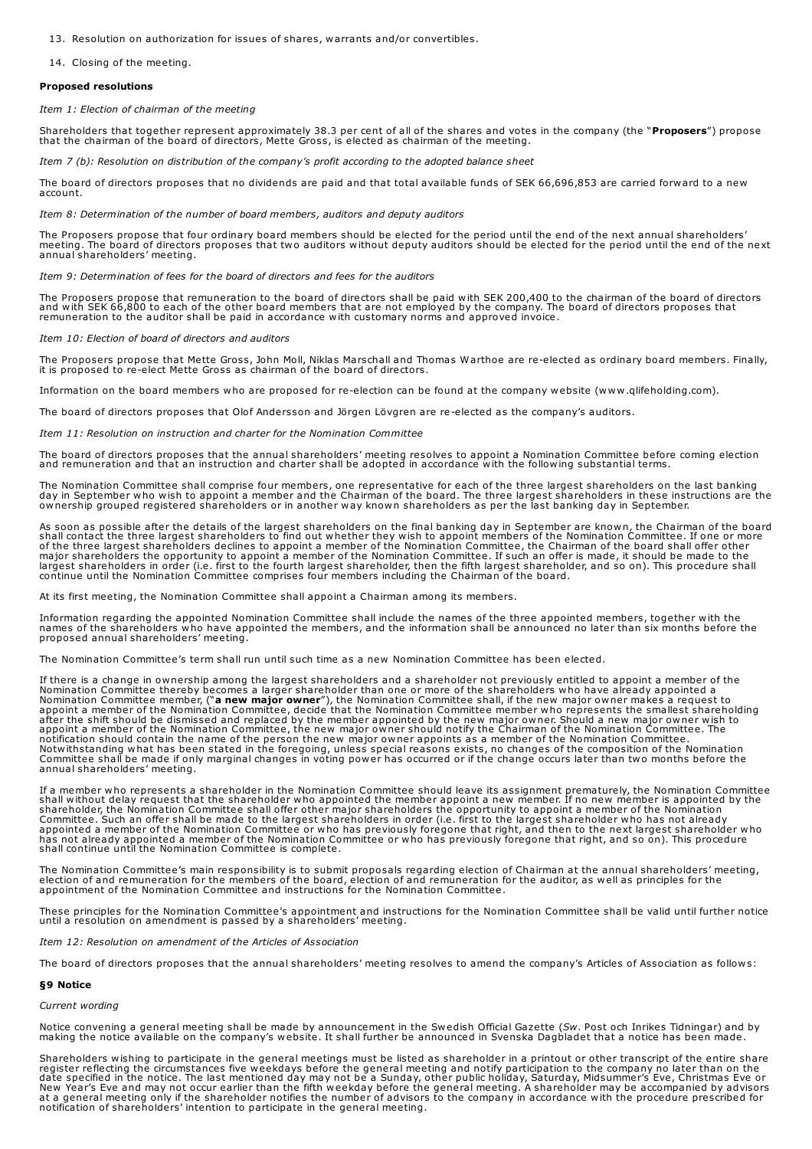13. Resolution on authorization for issues of shares, warrants and/or convertibles.

14. Closing of the meeting.

#### Proposed resolutions

Item 1: Election of chairman of the meeting

Shareholders that together represent approximately 38.3 per cent of all of the shares and votes in the company (the "Proposers") propose that the chairman of the board of directors, Mette Gross, is elected as chairman of the meeting.

Item 7 (b): Resolution on distribution of the company's profit according to the adopted balance sheet

The board of directors proposes that no dividends are paid and that total available funds of SEK 66,696,853 are carried forward to a new account.

Item 8: Determination of the number of board members, auditors and deputy auditors

The Proposers propose that four ordinary board members should be elected for the period until the end of the next annual shareholders'<br>meeting. The board of directors proposes that two auditors without deputy auditors shou annual shareholders' meeting.

Item 9: Determination of fees for the board of directors and fees for the auditors

The Proposers propose that remuneration to the board of directors shall be paid with SEK 200,400 to the chairman of the board of directors<br>and with SEK 66,800 to each of the other board members that are not employed by the

Item 10: Election of board of directors and auditors

The Proposers propose that Mette Gross, John Moll, Niklas Marschall and Thomas Warthoe are re-elected as ordinary board members. Finally, it is proposed to re-elect Mette Gross as chairman of the board of directors.

Information on the board members who are proposed for re-election can be found at the company website (www.qlifeholding.com).

The board of directors proposes that Olof Andersson and Jörgen Lövgren are re-elected as the company's auditors.

Item 11: Resolution on instruction and charter for the Nomination Committee

The board of directors proposes that the annual shareholders' meeting resolves to appoint a Nomination Committee before coming election<br>and remuneration and that an instruction and charter shall be adopted in accordance wi

The Nomination Committee shall comprise four members, one representative for each of the three largest shareholders on the last banking day in September who wish to appoint a member and the Chairman of the board. The three largest shareholders in these instructions are the<br>ownership grouped registered shareholders or in another way known shareholders as pe

As soon as possible after the details of the largest shareholders on the final banking day in September are known, the Chairman of the board<br>shall contact the three largest shareholders to find out whether they wish to app

At its first meeting, the Nomination Committee shall appoint a Chairman among its members.

Information regarding the appointed Nomination Committee shall include the names of the three appointed members, together with the<br>names of the shareholders who have appointed the members, and the information shall be anno proposed annual shareholders' meeting.

The Nomination Committee's term shall run until such time as a new Nomination Committee has been elected.

If there is a change in ownership among the largest shareholders and a shareholder not previously entitled to appoint a member of the<br>Nomination Committee thereby becomes a larger shareholder than one or more of the shareh after the shift should be dismissed and replaced by the member appointed by the new major owner. Should a new major owner wish to<br>appoint a member of the Nomination Committee, the new major owner should notify the Chairman Notwithstanding what has been stated in the foregoing, unless special reasons exists, no changes of the composition of the Nomination<br>Committee shall be made if only marginal changes in voting power has occurred or if the annual shareholders' meeting.

If a member who represents a shareholder in the Nomination Committee should leave its assignment prematurely, the Nomination Committee<br>shall without delay request that the shareholder who appointed the member appoint a new appointed a member of the Nomination Committee or who has previously foregone that right, and then to the next largest shareholder who<br>has not already appointed a member of the Nomination Committee or who has previously fo

The Nomination Committee's main responsibility is to submit proposals regarding election of Chairman at the annual shareholders' meeting,<br>election of and remuneration for the members of the board, election of and remunerat

These principles for the Nomination Committee's appointment and instructions for the Nomination Committee shall be valid until further notice until a resolution on amendment is passed by a shareholders' meeting.

Item 12: Resolution on amendment of the Articles of Association

The board of directors proposes that the annual shareholders' meeting resolves to amend the company's Articles of Association as follows:

# §9 Notice

# Current wording

Notice convening a general meeting shall be made by announcement in the Swedish Official Gazette (Sw. Post och Inrikes Tidningar) and by<br>making the notice available on the company's website. It shall further be announced i

Shareholders wishing to participate in the general meetings must be listed as shareholder in a printout or other transcript of the entire share<br>register reflecting the circumstances five weekdays before the general meeting notification of shareholders' intention to participate in the general meeting.